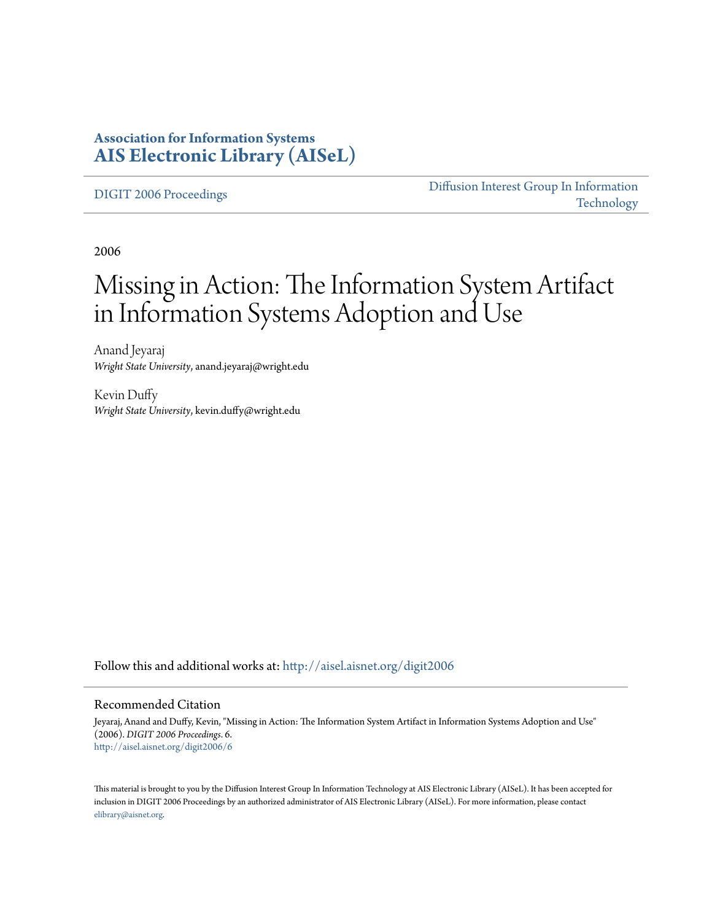### **Association for Information Systems [AIS Electronic Library \(AISeL\)](http://aisel.aisnet.org?utm_source=aisel.aisnet.org%2Fdigit2006%2F6&utm_medium=PDF&utm_campaign=PDFCoverPages)**

[DIGIT 2006 Proceedings](http://aisel.aisnet.org/digit2006?utm_source=aisel.aisnet.org%2Fdigit2006%2F6&utm_medium=PDF&utm_campaign=PDFCoverPages)

[Diffusion Interest Group In Information](http://aisel.aisnet.org/digit?utm_source=aisel.aisnet.org%2Fdigit2006%2F6&utm_medium=PDF&utm_campaign=PDFCoverPages) [Technology](http://aisel.aisnet.org/digit?utm_source=aisel.aisnet.org%2Fdigit2006%2F6&utm_medium=PDF&utm_campaign=PDFCoverPages)

2006

# Missing in Action: The Information System Artifact in Information Systems Adoption and Use

Anand Jeyaraj *Wright State University*, anand.jeyaraj@wright.edu

Kevin Duffy *Wright State University*, kevin.duffy@wright.edu

Follow this and additional works at: [http://aisel.aisnet.org/digit2006](http://aisel.aisnet.org/digit2006?utm_source=aisel.aisnet.org%2Fdigit2006%2F6&utm_medium=PDF&utm_campaign=PDFCoverPages)

#### Recommended Citation

Jeyaraj, Anand and Duffy, Kevin, "Missing in Action: The Information System Artifact in Information Systems Adoption and Use" (2006). *DIGIT 2006 Proceedings*. 6. [http://aisel.aisnet.org/digit2006/6](http://aisel.aisnet.org/digit2006/6?utm_source=aisel.aisnet.org%2Fdigit2006%2F6&utm_medium=PDF&utm_campaign=PDFCoverPages)

This material is brought to you by the Diffusion Interest Group In Information Technology at AIS Electronic Library (AISeL). It has been accepted for inclusion in DIGIT 2006 Proceedings by an authorized administrator of AIS Electronic Library (AISeL). For more information, please contact [elibrary@aisnet.org.](mailto:elibrary@aisnet.org%3E)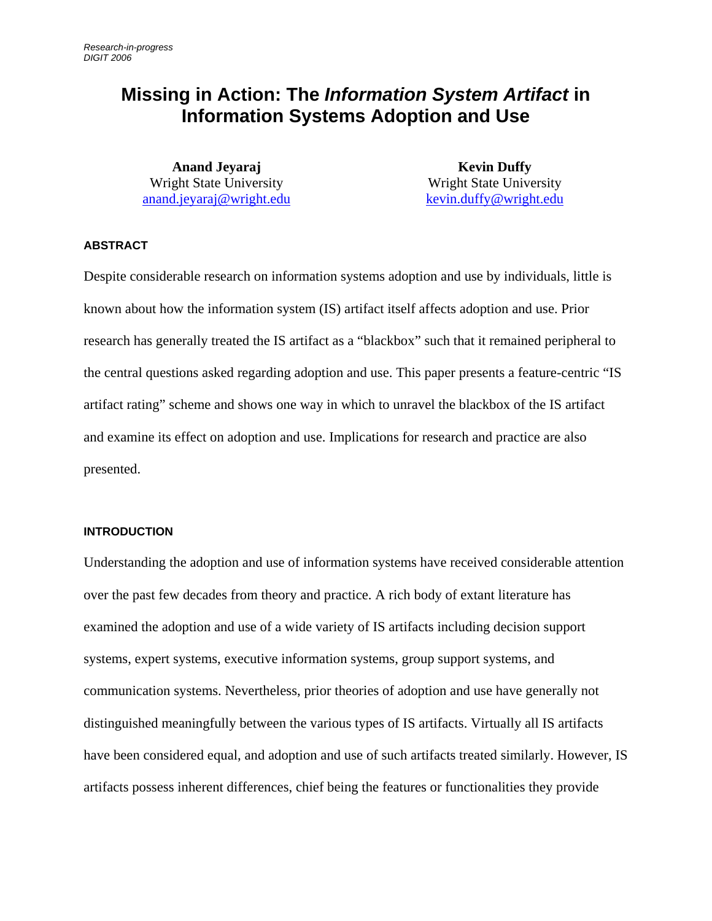## **Missing in Action: The** *Information System Artifact* **in Information Systems Adoption and Use**

**Anand Jeyaraj**  Wright State University [anand.jeyaraj@wright.edu](mailto:anand.jeyaraj@wright.edu)

**Kevin Duffy**  Wright State University [kevin.duffy@wright.edu](mailto:kevin.duffy@wright.edu)

#### **ABSTRACT**

Despite considerable research on information systems adoption and use by individuals, little is known about how the information system (IS) artifact itself affects adoption and use. Prior research has generally treated the IS artifact as a "blackbox" such that it remained peripheral to the central questions asked regarding adoption and use. This paper presents a feature-centric "IS artifact rating" scheme and shows one way in which to unravel the blackbox of the IS artifact and examine its effect on adoption and use. Implications for research and practice are also presented.

#### **INTRODUCTION**

Understanding the adoption and use of information systems have received considerable attention over the past few decades from theory and practice. A rich body of extant literature has examined the adoption and use of a wide variety of IS artifacts including decision support systems, expert systems, executive information systems, group support systems, and communication systems. Nevertheless, prior theories of adoption and use have generally not distinguished meaningfully between the various types of IS artifacts. Virtually all IS artifacts have been considered equal, and adoption and use of such artifacts treated similarly. However, IS artifacts possess inherent differences, chief being the features or functionalities they provide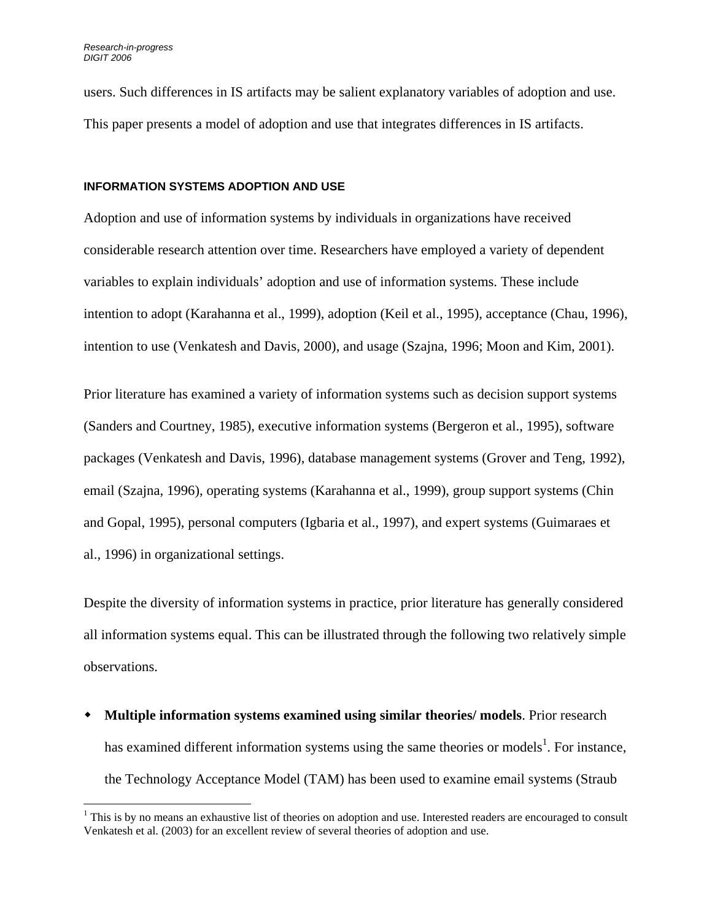1

users. Such differences in IS artifacts may be salient explanatory variables of adoption and use. This paper presents a model of adoption and use that integrates differences in IS artifacts.

#### **INFORMATION SYSTEMS ADOPTION AND USE**

Adoption and use of information systems by individuals in organizations have received considerable research attention over time. Researchers have employed a variety of dependent variables to explain individuals' adoption and use of information systems. These include intention to adopt (Karahanna et al., 1999), adoption (Keil et al., 1995), acceptance (Chau, 1996), intention to use (Venkatesh and Davis, 2000), and usage (Szajna, 1996; Moon and Kim, 2001).

Prior literature has examined a variety of information systems such as decision support systems (Sanders and Courtney, 1985), executive information systems (Bergeron et al., 1995), software packages (Venkatesh and Davis, 1996), database management systems (Grover and Teng, 1992), email (Szajna, 1996), operating systems (Karahanna et al., 1999), group support systems (Chin and Gopal, 1995), personal computers (Igbaria et al., 1997), and expert systems (Guimaraes et al., 1996) in organizational settings.

Despite the diversity of information systems in practice, prior literature has generally considered all information systems equal. This can be illustrated through the following two relatively simple observations.

 **Multiple information systems examined using similar theories/ models**. Prior research has examined different information systems using the same theories or models<sup>[1](#page-2-0)</sup>. For instance, the Technology Acceptance Model (TAM) has been used to examine email systems (Straub

<span id="page-2-0"></span> $1$  This is by no means an exhaustive list of theories on adoption and use. Interested readers are encouraged to consult Venkatesh et al. (2003) for an excellent review of several theories of adoption and use.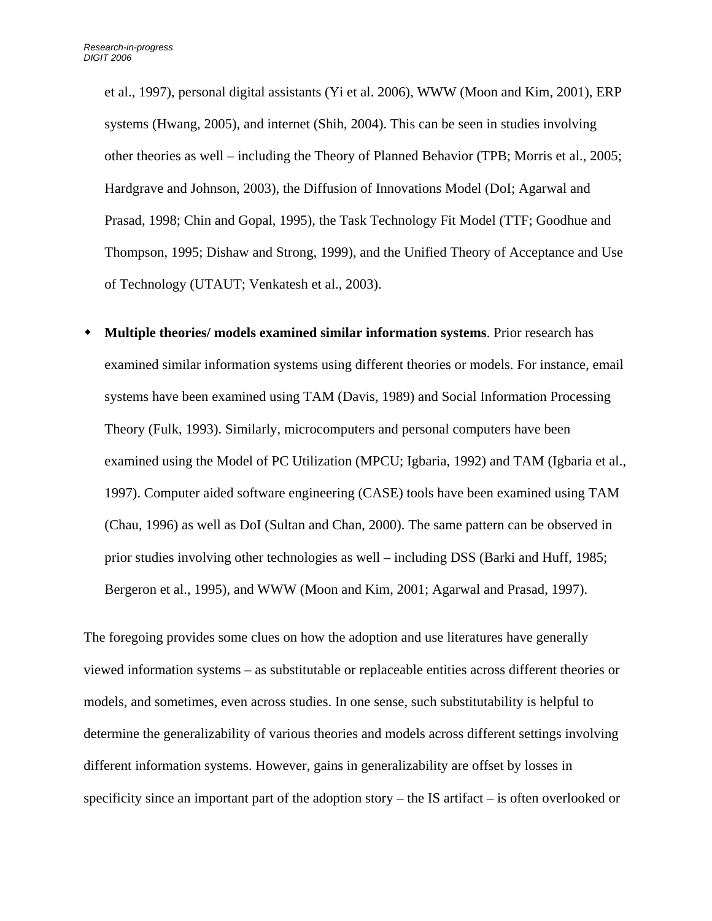et al., 1997), personal digital assistants (Yi et al. 2006), WWW (Moon and Kim, 2001), ERP systems (Hwang, 2005), and internet (Shih, 2004). This can be seen in studies involving other theories as well – including the Theory of Planned Behavior (TPB; Morris et al., 2005; Hardgrave and Johnson, 2003), the Diffusion of Innovations Model (DoI; Agarwal and Prasad, 1998; Chin and Gopal, 1995), the Task Technology Fit Model (TTF; Goodhue and Thompson, 1995; Dishaw and Strong, 1999), and the Unified Theory of Acceptance and Use of Technology (UTAUT; Venkatesh et al., 2003).

 **Multiple theories/ models examined similar information systems**. Prior research has examined similar information systems using different theories or models. For instance, email systems have been examined using TAM (Davis, 1989) and Social Information Processing Theory (Fulk, 1993). Similarly, microcomputers and personal computers have been examined using the Model of PC Utilization (MPCU; Igbaria, 1992) and TAM (Igbaria et al., 1997). Computer aided software engineering (CASE) tools have been examined using TAM (Chau, 1996) as well as DoI (Sultan and Chan, 2000). The same pattern can be observed in prior studies involving other technologies as well – including DSS (Barki and Huff, 1985; Bergeron et al., 1995), and WWW (Moon and Kim, 2001; Agarwal and Prasad, 1997).

The foregoing provides some clues on how the adoption and use literatures have generally viewed information systems – as substitutable or replaceable entities across different theories or models, and sometimes, even across studies. In one sense, such substitutability is helpful to determine the generalizability of various theories and models across different settings involving different information systems. However, gains in generalizability are offset by losses in specificity since an important part of the adoption story – the IS artifact – is often overlooked or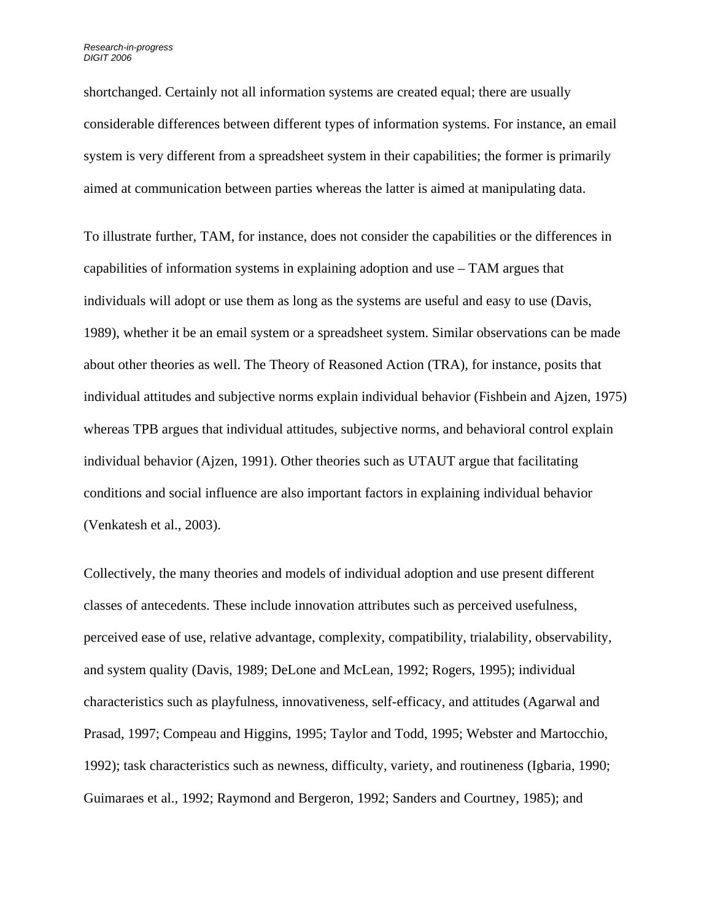shortchanged. Certainly not all information systems are created equal; there are usually considerable differences between different types of information systems. For instance, an email system is very different from a spreadsheet system in their capabilities; the former is primarily aimed at communication between parties whereas the latter is aimed at manipulating data.

To illustrate further, TAM, for instance, does not consider the capabilities or the differences in capabilities of information systems in explaining adoption and use – TAM argues that individuals will adopt or use them as long as the systems are useful and easy to use (Davis, 1989), whether it be an email system or a spreadsheet system. Similar observations can be made about other theories as well. The Theory of Reasoned Action (TRA), for instance, posits that individual attitudes and subjective norms explain individual behavior (Fishbein and Ajzen, 1975) whereas TPB argues that individual attitudes, subjective norms, and behavioral control explain individual behavior (Ajzen, 1991). Other theories such as UTAUT argue that facilitating conditions and social influence are also important factors in explaining individual behavior (Venkatesh et al., 2003).

Collectively, the many theories and models of individual adoption and use present different classes of antecedents. These include innovation attributes such as perceived usefulness, perceived ease of use, relative advantage, complexity, compatibility, trialability, observability, and system quality (Davis, 1989; DeLone and McLean, 1992; Rogers, 1995); individual characteristics such as playfulness, innovativeness, self-efficacy, and attitudes (Agarwal and Prasad, 1997; Compeau and Higgins, 1995; Taylor and Todd, 1995; Webster and Martocchio, 1992); task characteristics such as newness, difficulty, variety, and routineness (Igbaria, 1990; Guimaraes et al., 1992; Raymond and Bergeron, 1992; Sanders and Courtney, 1985); and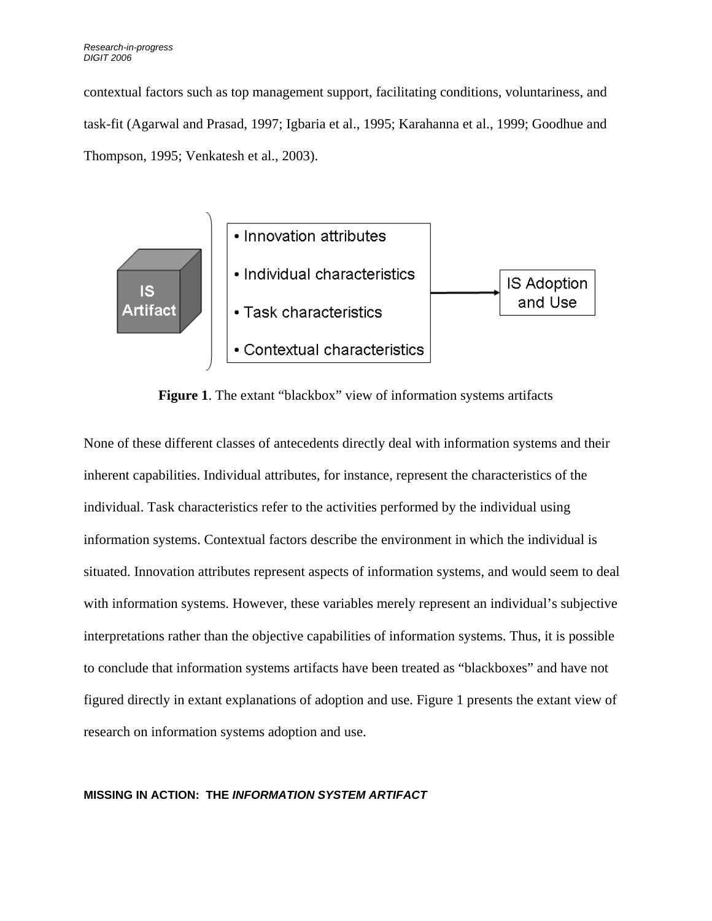contextual factors such as top management support, facilitating conditions, voluntariness, and task-fit (Agarwal and Prasad, 1997; Igbaria et al., 1995; Karahanna et al., 1999; Goodhue and Thompson, 1995; Venkatesh et al., 2003).



**Figure 1**. The extant "blackbox" view of information systems artifacts

None of these different classes of antecedents directly deal with information systems and their inherent capabilities. Individual attributes, for instance, represent the characteristics of the individual. Task characteristics refer to the activities performed by the individual using information systems. Contextual factors describe the environment in which the individual is situated. Innovation attributes represent aspects of information systems, and would seem to deal with information systems. However, these variables merely represent an individual's subjective interpretations rather than the objective capabilities of information systems. Thus, it is possible to conclude that information systems artifacts have been treated as "blackboxes" and have not figured directly in extant explanations of adoption and use. Figure 1 presents the extant view of research on information systems adoption and use.

#### **MISSING IN ACTION: THE** *INFORMATION SYSTEM ARTIFACT*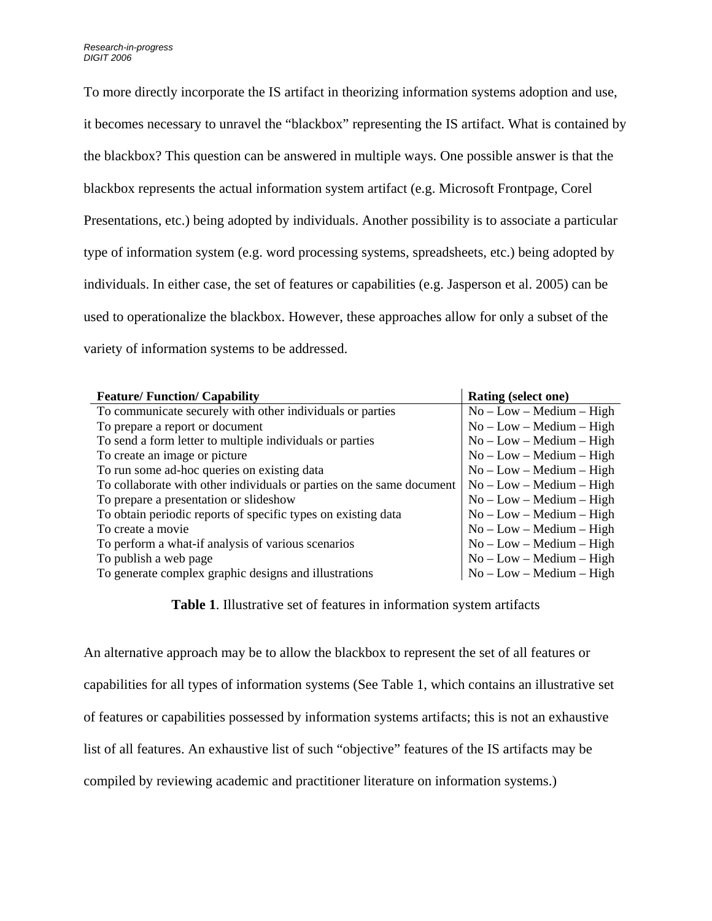To more directly incorporate the IS artifact in theorizing information systems adoption and use, it becomes necessary to unravel the "blackbox" representing the IS artifact. What is contained by the blackbox? This question can be answered in multiple ways. One possible answer is that the blackbox represents the actual information system artifact (e.g. Microsoft Frontpage, Corel Presentations, etc.) being adopted by individuals. Another possibility is to associate a particular type of information system (e.g. word processing systems, spreadsheets, etc.) being adopted by individuals. In either case, the set of features or capabilities (e.g. Jasperson et al. 2005) can be used to operationalize the blackbox. However, these approaches allow for only a subset of the variety of information systems to be addressed.

| <b>Feature/Function/Capability</b>                                    | Rating (select one)        |
|-----------------------------------------------------------------------|----------------------------|
| To communicate securely with other individuals or parties             | $No - Low - Medium - High$ |
| To prepare a report or document                                       | $No - Low - Medium - High$ |
| To send a form letter to multiple individuals or parties              | $No - Low - Medium - High$ |
| To create an image or picture                                         | $No - Low - Medium - High$ |
| To run some ad-hoc queries on existing data                           | $No - Low - Medium - High$ |
| To collaborate with other individuals or parties on the same document | $No - Low - Medium - High$ |
| To prepare a presentation or slideshow                                | $No - Low - Medium - High$ |
| To obtain periodic reports of specific types on existing data         | $No - Low - Medium - High$ |
| To create a movie                                                     | $No - Low - Medium - High$ |
| To perform a what-if analysis of various scenarios                    | $No - Low - Medium - High$ |
| To publish a web page                                                 | $No - Low - Medium - High$ |
| To generate complex graphic designs and illustrations                 | $No - Low - Medium - High$ |

**Table 1**. Illustrative set of features in information system artifacts

An alternative approach may be to allow the blackbox to represent the set of all features or capabilities for all types of information systems (See Table 1, which contains an illustrative set of features or capabilities possessed by information systems artifacts; this is not an exhaustive list of all features. An exhaustive list of such "objective" features of the IS artifacts may be compiled by reviewing academic and practitioner literature on information systems.)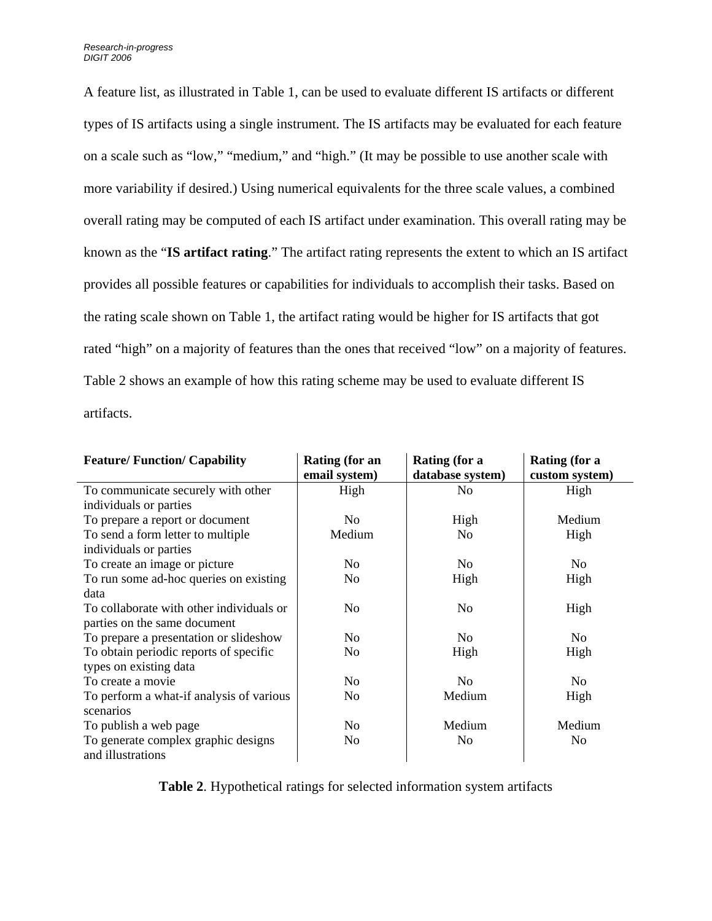A feature list, as illustrated in Table 1, can be used to evaluate different IS artifacts or different types of IS artifacts using a single instrument. The IS artifacts may be evaluated for each feature on a scale such as "low," "medium," and "high." (It may be possible to use another scale with more variability if desired.) Using numerical equivalents for the three scale values, a combined overall rating may be computed of each IS artifact under examination. This overall rating may be known as the "**IS artifact rating**." The artifact rating represents the extent to which an IS artifact provides all possible features or capabilities for individuals to accomplish their tasks. Based on the rating scale shown on Table 1, the artifact rating would be higher for IS artifacts that got rated "high" on a majority of features than the ones that received "low" on a majority of features. Table 2 shows an example of how this rating scheme may be used to evaluate different IS artifacts.

| <b>Feature/Function/Capability</b>       | <b>Rating (for an</b><br>email system) | Rating (for a<br>database system) | Rating (for a<br>custom system) |
|------------------------------------------|----------------------------------------|-----------------------------------|---------------------------------|
| To communicate securely with other       | High                                   | N <sub>0</sub>                    | High                            |
| individuals or parties                   |                                        |                                   |                                 |
| To prepare a report or document          | No                                     | High                              | Medium                          |
| To send a form letter to multiple        | Medium                                 | N <sub>0</sub>                    | High                            |
| individuals or parties                   |                                        |                                   |                                 |
| To create an image or picture            | No                                     | N <sub>0</sub>                    | N <sub>0</sub>                  |
| To run some ad-hoc queries on existing   | No                                     | High                              | High                            |
| data                                     |                                        |                                   |                                 |
| To collaborate with other individuals or | No                                     | N <sub>0</sub>                    | High                            |
| parties on the same document             |                                        |                                   |                                 |
| To prepare a presentation or slideshow   | N <sub>0</sub>                         | N <sub>0</sub>                    | N <sub>0</sub>                  |
| To obtain periodic reports of specific   | N <sub>0</sub>                         | High                              | High                            |
| types on existing data                   |                                        |                                   |                                 |
| To create a movie                        | No                                     | N <sub>0</sub>                    | N <sub>0</sub>                  |
| To perform a what-if analysis of various | No                                     | Medium                            | High                            |
| scenarios                                |                                        |                                   |                                 |
| To publish a web page                    | No                                     | Medium                            | Medium                          |
| To generate complex graphic designs      | N <sub>0</sub>                         | N <sub>0</sub>                    | N <sub>0</sub>                  |
| and illustrations                        |                                        |                                   |                                 |

**Table 2**. Hypothetical ratings for selected information system artifacts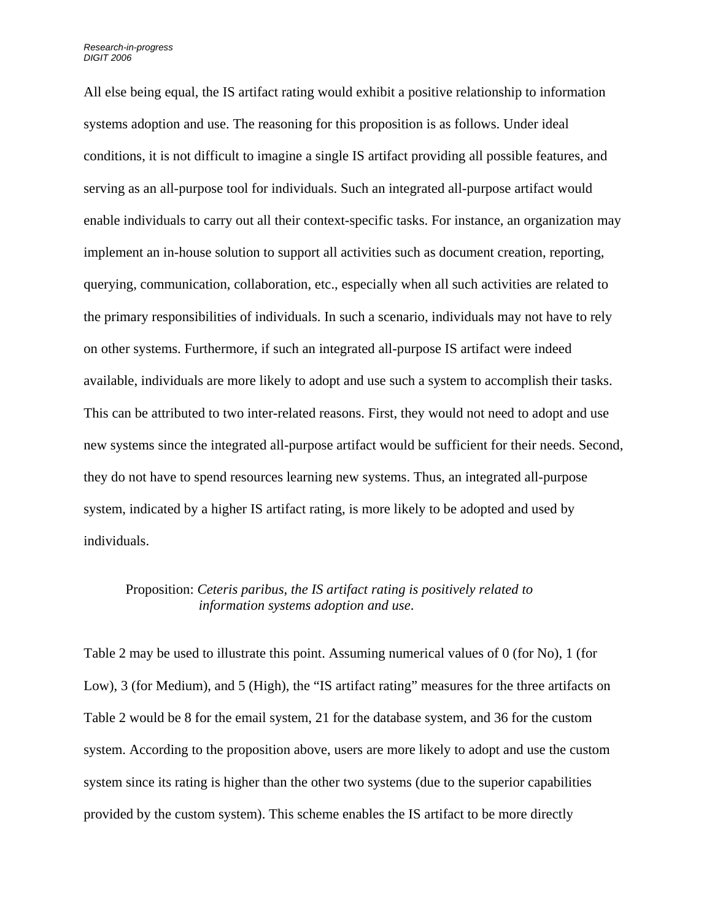All else being equal, the IS artifact rating would exhibit a positive relationship to information systems adoption and use. The reasoning for this proposition is as follows. Under ideal conditions, it is not difficult to imagine a single IS artifact providing all possible features, and serving as an all-purpose tool for individuals. Such an integrated all-purpose artifact would enable individuals to carry out all their context-specific tasks. For instance, an organization may implement an in-house solution to support all activities such as document creation, reporting, querying, communication, collaboration, etc., especially when all such activities are related to the primary responsibilities of individuals. In such a scenario, individuals may not have to rely on other systems. Furthermore, if such an integrated all-purpose IS artifact were indeed available, individuals are more likely to adopt and use such a system to accomplish their tasks. This can be attributed to two inter-related reasons. First, they would not need to adopt and use new systems since the integrated all-purpose artifact would be sufficient for their needs. Second, they do not have to spend resources learning new systems. Thus, an integrated all-purpose system, indicated by a higher IS artifact rating, is more likely to be adopted and used by individuals.

#### Proposition: *Ceteris paribus, the IS artifact rating is positively related to information systems adoption and use*.

Table 2 may be used to illustrate this point. Assuming numerical values of 0 (for No), 1 (for Low), 3 (for Medium), and 5 (High), the "IS artifact rating" measures for the three artifacts on Table 2 would be 8 for the email system, 21 for the database system, and 36 for the custom system. According to the proposition above, users are more likely to adopt and use the custom system since its rating is higher than the other two systems (due to the superior capabilities provided by the custom system). This scheme enables the IS artifact to be more directly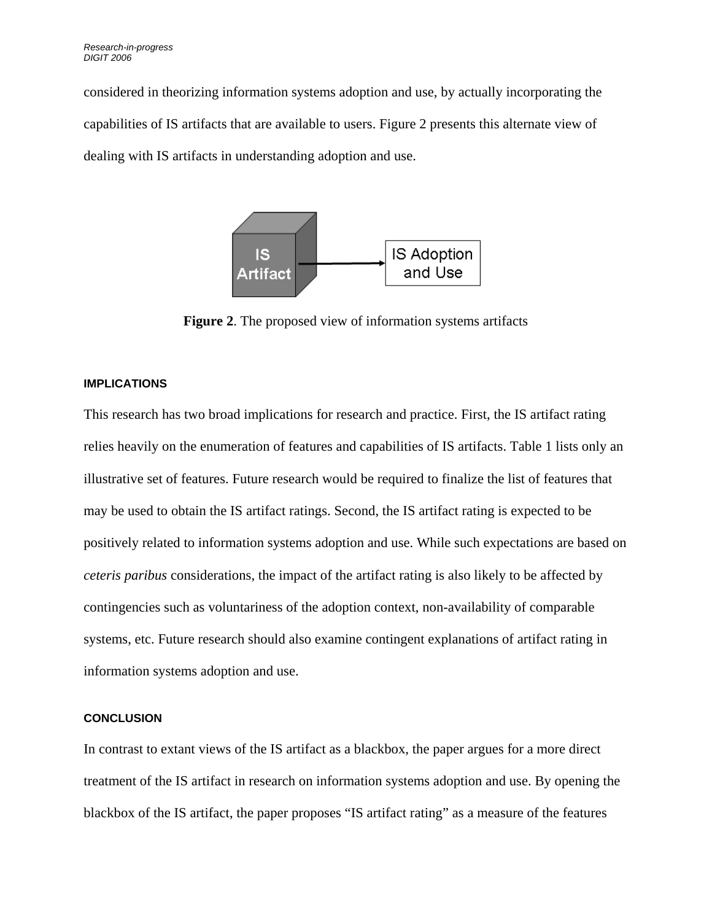considered in theorizing information systems adoption and use, by actually incorporating the capabilities of IS artifacts that are available to users. Figure 2 presents this alternate view of dealing with IS artifacts in understanding adoption and use.



**Figure 2**. The proposed view of information systems artifacts

#### **IMPLICATIONS**

This research has two broad implications for research and practice. First, the IS artifact rating relies heavily on the enumeration of features and capabilities of IS artifacts. Table 1 lists only an illustrative set of features. Future research would be required to finalize the list of features that may be used to obtain the IS artifact ratings. Second, the IS artifact rating is expected to be positively related to information systems adoption and use. While such expectations are based on *ceteris paribus* considerations, the impact of the artifact rating is also likely to be affected by contingencies such as voluntariness of the adoption context, non-availability of comparable systems, etc. Future research should also examine contingent explanations of artifact rating in information systems adoption and use.

#### **CONCLUSION**

In contrast to extant views of the IS artifact as a blackbox, the paper argues for a more direct treatment of the IS artifact in research on information systems adoption and use. By opening the blackbox of the IS artifact, the paper proposes "IS artifact rating" as a measure of the features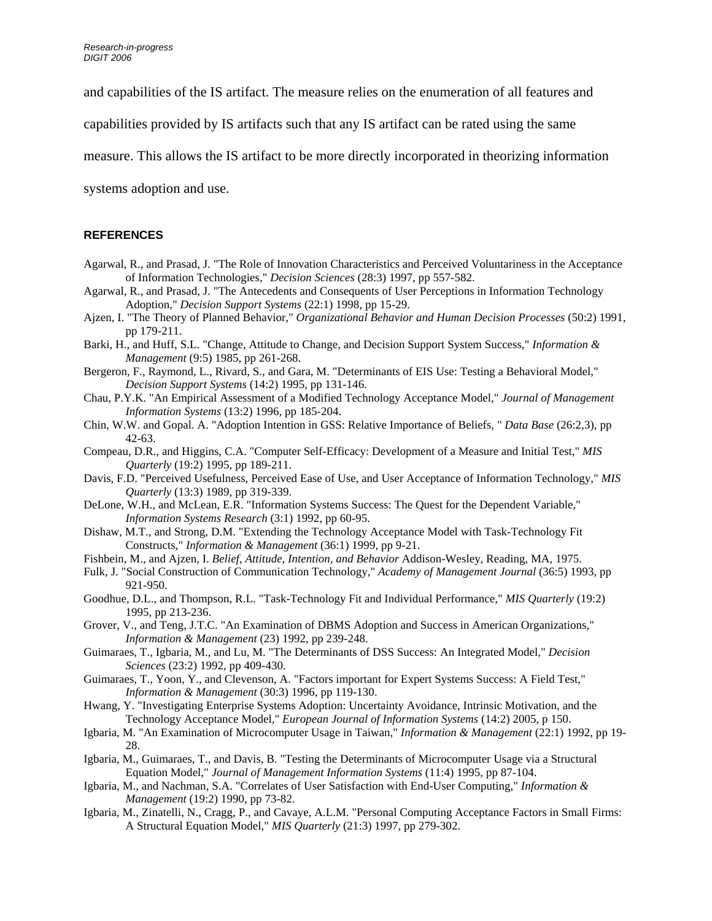and capabilities of the IS artifact. The measure relies on the enumeration of all features and

capabilities provided by IS artifacts such that any IS artifact can be rated using the same

measure. This allows the IS artifact to be more directly incorporated in theorizing information

systems adoption and use.

#### **REFERENCES**

- Agarwal, R., and Prasad, J. "The Role of Innovation Characteristics and Perceived Voluntariness in the Acceptance of Information Technologies," *Decision Sciences* (28:3) 1997, pp 557-582.
- Agarwal, R., and Prasad, J. "The Antecedents and Consequents of User Perceptions in Information Technology Adoption," *Decision Support Systems* (22:1) 1998, pp 15-29.
- Ajzen, I. "The Theory of Planned Behavior," *Organizational Behavior and Human Decision Processes* (50:2) 1991, pp 179-211.
- Barki, H., and Huff, S.L. "Change, Attitude to Change, and Decision Support System Success," *Information & Management* (9:5) 1985, pp 261-268.
- Bergeron, F., Raymond, L., Rivard, S., and Gara, M. "Determinants of EIS Use: Testing a Behavioral Model," *Decision Support Systems* (14:2) 1995, pp 131-146.
- Chau, P.Y.K. "An Empirical Assessment of a Modified Technology Acceptance Model," *Journal of Management Information Systems* (13:2) 1996, pp 185-204.
- Chin, W.W. and Gopal. A. "Adoption Intention in GSS: Relative Importance of Beliefs, " *Data Base* (26:2,3), pp 42-63.
- Compeau, D.R., and Higgins, C.A. "Computer Self-Efficacy: Development of a Measure and Initial Test," *MIS Quarterly* (19:2) 1995, pp 189-211.
- Davis, F.D. "Perceived Usefulness, Perceived Ease of Use, and User Acceptance of Information Technology," *MIS Quarterly* (13:3) 1989, pp 319-339.
- DeLone, W.H., and McLean, E.R. "Information Systems Success: The Quest for the Dependent Variable," *Information Systems Research* (3:1) 1992, pp 60-95.
- Dishaw, M.T., and Strong, D.M. "Extending the Technology Acceptance Model with Task-Technology Fit Constructs," *Information & Management* (36:1) 1999, pp 9-21.
- Fishbein, M., and Ajzen, I. *Belief, Attitude, Intention, and Behavior* Addison-Wesley, Reading, MA, 1975.
- Fulk, J. "Social Construction of Communication Technology," *Academy of Management Journal* (36:5) 1993, pp 921-950.
- Goodhue, D.L., and Thompson, R.L. "Task-Technology Fit and Individual Performance," *MIS Quarterly* (19:2) 1995, pp 213-236.
- Grover, V., and Teng, J.T.C. "An Examination of DBMS Adoption and Success in American Organizations," *Information & Management* (23) 1992, pp 239-248.
- Guimaraes, T., Igbaria, M., and Lu, M. "The Determinants of DSS Success: An Integrated Model," *Decision Sciences* (23:2) 1992, pp 409-430.
- Guimaraes, T., Yoon, Y., and Clevenson, A. "Factors important for Expert Systems Success: A Field Test," *Information & Management* (30:3) 1996, pp 119-130.
- Hwang, Y. "Investigating Enterprise Systems Adoption: Uncertainty Avoidance, Intrinsic Motivation, and the Technology Acceptance Model," *European Journal of Information Systems* (14:2) 2005, p 150.
- Igbaria, M. "An Examination of Microcomputer Usage in Taiwan," *Information & Management* (22:1) 1992, pp 19- 28.
- Igbaria, M., Guimaraes, T., and Davis, B. "Testing the Determinants of Microcomputer Usage via a Structural Equation Model," *Journal of Management Information Systems* (11:4) 1995, pp 87-104.
- Igbaria, M., and Nachman, S.A. "Correlates of User Satisfaction with End-User Computing," *Information & Management* (19:2) 1990, pp 73-82.
- Igbaria, M., Zinatelli, N., Cragg, P., and Cavaye, A.L.M. "Personal Computing Acceptance Factors in Small Firms: A Structural Equation Model," *MIS Quarterly* (21:3) 1997, pp 279-302.